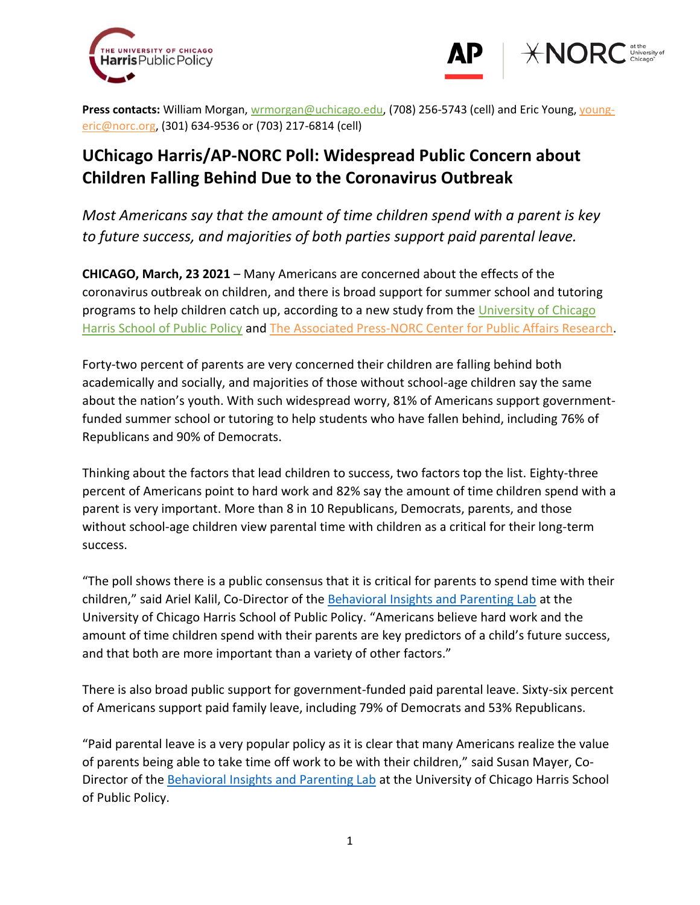



**Press contacts:** William Morgan, [wrmorgan@uchicago.edu,](mailto:wrmorgan@uchicago.edu) (708) 256-5743 (cell) and Eric Young, [young](mailto:young-eric@norc.org)[eric@norc.org,](mailto:young-eric@norc.org) (301) 634-9536 or (703) 217-6814 (cell)

# **UChicago Harris/AP-NORC Poll: Widespread Public Concern about Children Falling Behind Due to the Coronavirus Outbreak**

*Most Americans say that the amount of time children spend with a parent is key to future success, and majorities of both parties support paid parental leave.* 

**CHICAGO, March, 23 2021** – Many Americans are concerned about the effects of the coronavirus outbreak on children, and there is broad support for summer school and tutoring programs to help children catch up, according to a new study from the University of Chicago [Harris School of Public Policy](https://harris.uchicago.edu/) and [The Associated Press-NORC Center](http://www.apnorc.org/) for Public Affairs Research.

Forty-two percent of parents are very concerned their children are falling behind both academically and socially, and majorities of those without school-age children say the same about the nation's youth. With such widespread worry, 81% of Americans support governmentfunded summer school or tutoring to help students who have fallen behind, including 76% of Republicans and 90% of Democrats.

Thinking about the factors that lead children to success, two factors top the list. Eighty-three percent of Americans point to hard work and 82% say the amount of time children spend with a parent is very important. More than 8 in 10 Republicans, Democrats, parents, and those without school-age children view parental time with children as a critical for their long-term success.

"The poll shows there is a public consensus that it is critical for parents to spend time with their children," said Ariel Kalil, Co-Director of th[e Behavioral Insights and Parenting Lab](https://biplab.uchicago.edu/) at the University of Chicago Harris School of Public Policy. "Americans believe hard work and the amount of time children spend with their parents are key predictors of a child's future success, and that both are more important than a variety of other factors."

There is also broad public support for government-funded paid parental leave. Sixty-six percent of Americans support paid family leave, including 79% of Democrats and 53% Republicans.

"Paid parental leave is a very popular policy as it is clear that many Americans realize the value of parents being able to take time off work to be with their children," said Susan Mayer, Co-Director of the [Behavioral Insights and](https://biplab.uchicago.edu/) Parenting Lab at the University of Chicago Harris School of Public Policy.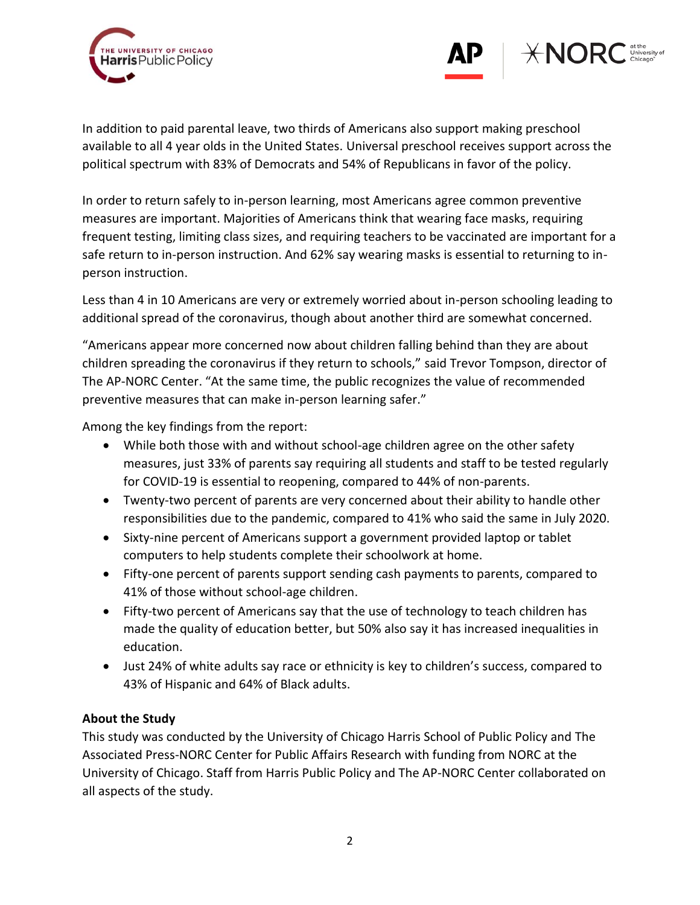



In addition to paid parental leave, two thirds of Americans also support making preschool available to all 4 year olds in the United States. Universal preschool receives support across the political spectrum with 83% of Democrats and 54% of Republicans in favor of the policy.

In order to return safely to in-person learning, most Americans agree common preventive measures are important. Majorities of Americans think that wearing face masks, requiring frequent testing, limiting class sizes, and requiring teachers to be vaccinated are important for a safe return to in-person instruction. And 62% say wearing masks is essential to returning to inperson instruction.

Less than 4 in 10 Americans are very or extremely worried about in-person schooling leading to additional spread of the coronavirus, though about another third are somewhat concerned.

"Americans appear more concerned now about children falling behind than they are about children spreading the coronavirus if they return to schools," said Trevor Tompson, director of The AP-NORC Center. "At the same time, the public recognizes the value of recommended preventive measures that can make in-person learning safer."

Among the key findings from the report:

- While both those with and without school-age children agree on the other safety measures, just 33% of parents say requiring all students and staff to be tested regularly for COVID-19 is essential to reopening, compared to 44% of non-parents.
- Twenty-two percent of parents are very concerned about their ability to handle other responsibilities due to the pandemic, compared to 41% who said the same in July 2020.
- Sixty-nine percent of Americans support a government provided laptop or tablet computers to help students complete their schoolwork at home.
- Fifty-one percent of parents support sending cash payments to parents, compared to 41% of those without school-age children.
- Fifty-two percent of Americans say that the use of technology to teach children has made the quality of education better, but 50% also say it has increased inequalities in education.
- Just 24% of white adults say race or ethnicity is key to children's success, compared to 43% of Hispanic and 64% of Black adults.

# **About the Study**

This study was conducted by the University of Chicago Harris School of Public Policy and The Associated Press-NORC Center for Public Affairs Research with funding from NORC at the University of Chicago. Staff from Harris Public Policy and The AP-NORC Center collaborated on all aspects of the study.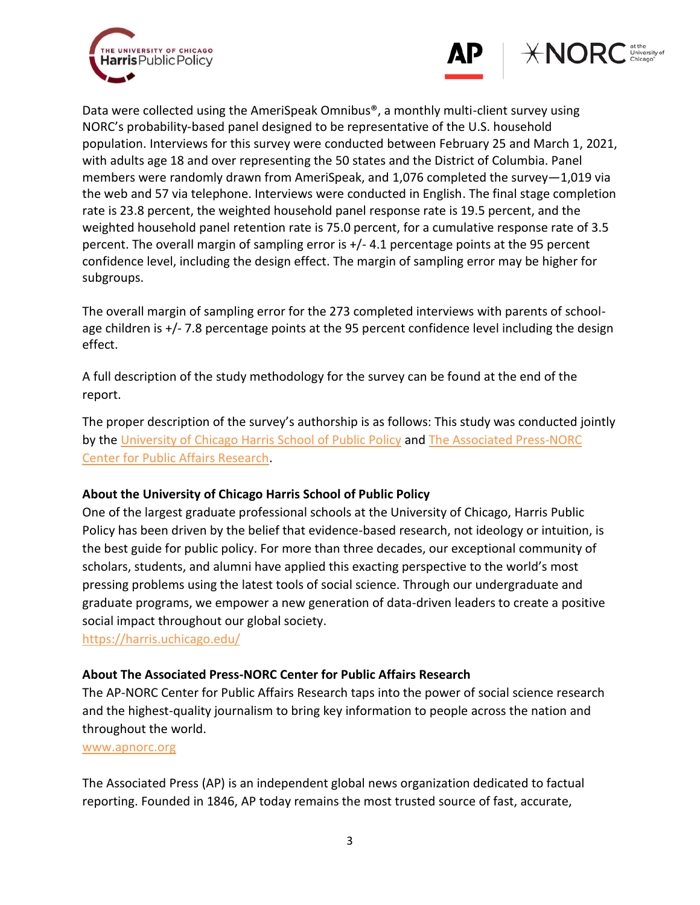



Data were collected using the AmeriSpeak Omnibus®, a monthly multi-client survey using NORC's probability-based panel designed to be representative of the U.S. household population. Interviews for this survey were conducted between February 25 and March 1, 2021, with adults age 18 and over representing the 50 states and the District of Columbia. Panel members were randomly drawn from AmeriSpeak, and 1,076 completed the survey—1,019 via the web and 57 via telephone. Interviews were conducted in English. The final stage completion rate is 23.8 percent, the weighted household panel response rate is 19.5 percent, and the weighted household panel retention rate is 75.0 percent, for a cumulative response rate of 3.5 percent. The overall margin of sampling error is +/- 4.1 percentage points at the 95 percent confidence level, including the design effect. The margin of sampling error may be higher for subgroups.

The overall margin of sampling error for the 273 completed interviews with parents of schoolage children is +/- 7.8 percentage points at the 95 percent confidence level including the design effect.

A full description of the study methodology for the survey can be found at the end of the report.

The proper description of the survey's authorship is as follows: This study was conducted jointly by the University of Chicago Harris School of Public Policy and The [Associated Press-NORC](http://apnorc.org/Pages/default.aspx)  [Center for Public Affairs Research.](http://apnorc.org/Pages/default.aspx)

# **About the University of Chicago Harris School of Public Policy**

One of the largest graduate professional schools at the University of Chicago, Harris Public Policy has been driven by the belief that evidence-based research, not ideology or intuition, is the best guide for public policy. For more than three decades, our exceptional community of scholars, students, and alumni have applied this exacting perspective to the world's most pressing problems using the latest tools of social science. Through our undergraduate and graduate programs, we empower a new generation of data-driven leaders to create a positive social impact throughout our global society.

https://harris.uchicago.edu/

# **About The Associated Press-NORC Center for Public Affairs Research**

The AP-NORC Center for Public Affairs Research taps into the power of social science research and the highest-quality journalism to bring key information to people across the nation and throughout the world.

### [www.apnorc.org](http://www.apnorc.org/)

The Associated Press (AP) is an independent global news organization dedicated to factual reporting. Founded in 1846, AP today remains the most trusted source of fast, accurate,